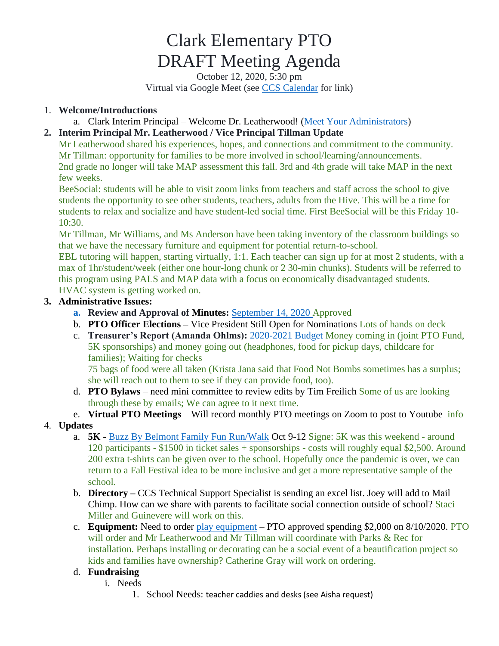# Clark Elementary PTO DRAFT Meeting Agenda

October 12, 2020, 5:30 pm Virtual via Google Meet (see [CCS Calendar](http://charlottesvilleschools.org/calendar/) for link)

## 1. **Welcome/Introductions**

a. Clark Interim Principal – Welcome Dr. Leatherwood! [\(Meet Your Administrators\)](http://charlottesvilleschools.org/clark/us/)

## **2. Interim Principal Mr. Leatherwood / Vice Principal Tillman Update**

Mr Leatherwood shared his experiences, hopes, and connections and commitment to the community. Mr Tillman: opportunity for families to be more involved in school/learning/announcements. 2nd grade no longer will take MAP assessment this fall. 3rd and 4th grade will take MAP in the next few weeks.

BeeSocial: students will be able to visit zoom links from teachers and staff across the school to give students the opportunity to see other students, teachers, adults from the Hive. This will be a time for students to relax and socialize and have student-led social time. First BeeSocial will be this Friday 10- 10:30.

Mr Tillman, Mr Williams, and Ms Anderson have been taking inventory of the classroom buildings so that we have the necessary furniture and equipment for potential return-to-school.

EBL tutoring will happen, starting virtually, 1:1. Each teacher can sign up for at most 2 students, with a max of 1hr/student/week (either one hour-long chunk or 2 30-min chunks). Students will be referred to this program using PALS and MAP data with a focus on economically disadvantaged students. HVAC system is getting worked on.

## **3. Administrative Issues:**

- **a. Review and Approval of Minutes:** [September 14, 2020 Approved](https://72069fcb-fa6f-46d9-8364-cf3fb644b396.filesusr.com/ugd/13a865_0f6f065756174faf9fda6ed675026917.pdf)
- b. **PTO Officer Elections –** Vice President Still Open for Nominations Lots of hands on deck
- c. **Treasurer's Report (Amanda Ohlms):** [2020-2021 Budget](https://72069fcb-fa6f-46d9-8364-cf3fb644b396.filesusr.com/ugd/13a865_fa8b11ccb58a426681fac7191ec39796.pdf) Money coming in (joint PTO Fund, 5K sponsorships) and money going out (headphones, food for pickup days, childcare for families); Waiting for checks

75 bags of food were all taken (Krista Jana said that Food Not Bombs sometimes has a surplus; she will reach out to them to see if they can provide food, too).

- d. **PTO Bylaws**  need mini committee to review edits by Tim Freilich Some of us are looking through these by emails; We can agree to it next time.
- e. **Virtual PTO Meetings** Will record monthly PTO meetings on Zoom to post to Youtube info

## 4. **Updates**

- a. **5K -** [Buzz By Belmont Family Fun Run/Walk](http://charlottesvilleschools.org/Clark5K?fbclid=IwAR2EKzkdUAUTozuSt6dbKyyGqFzKqB4usViooTeYfcm9eR-bzsrrKXqZG1M) Oct 9-12 Signe: 5K was this weekend around 120 participants - \$1500 in ticket sales + sponsorships - costs will roughly equal \$2,500. Around 200 extra t-shirts can be given over to the school. Hopefully once the pandemic is over, we can return to a Fall Festival idea to be more inclusive and get a more representative sample of the school.
- b. **Directory –** CCS Technical Support Specialist is sending an excel list. Joey will add to Mail Chimp. How can we share with parents to facilitate social connection outside of school? Staci Miller and Guinevere will work on this.
- c. **Equipment:** Need to order [play equipment](https://72069fcb-fa6f-46d9-8364-cf3fb644b396.filesusr.com/ugd/13a865_44f7ddb88f9b4a878f10d1ed45a5afee.pdf) PTO approved spending \$2,000 on 8/10/2020. PTO will order and Mr Leatherwood and Mr Tillman will coordinate with Parks & Rec for installation. Perhaps installing or decorating can be a social event of a beautification project so kids and families have ownership? Catherine Gray will work on ordering.

## d. **Fundraising**

- i. Needs
	- 1. School Needs: teacher caddies and desks (see Aisha request)